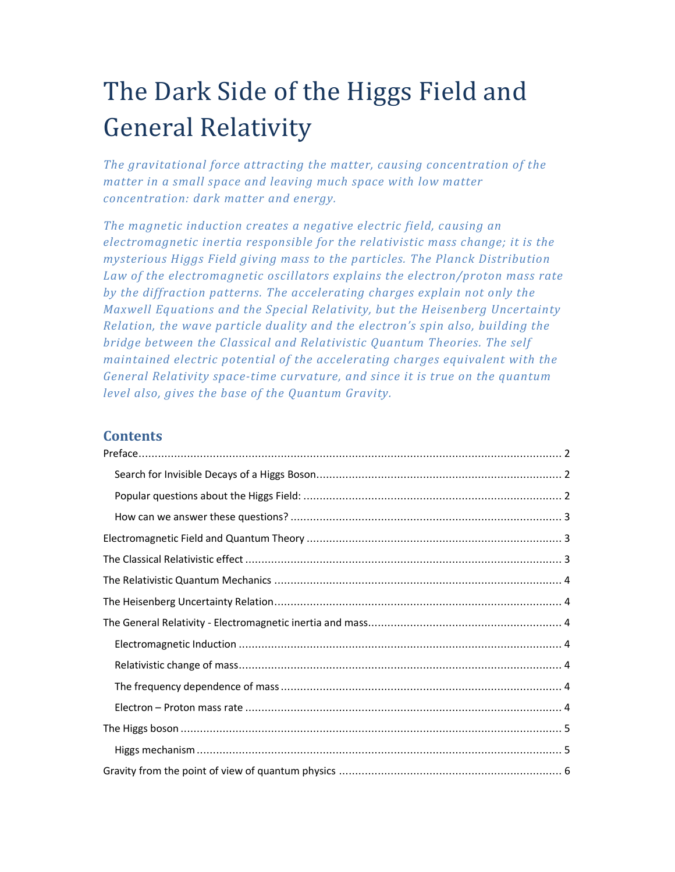# The Dark Side of the Higgs Field and General Relativity

*The gravitational force attracting the matter, causing concentration of the matter in a small space and leaving much space with low matter concentration: dark matter and energy.* 

*The magnetic induction creates a negative electric field, causing an electromagnetic inertia responsible for the relativistic mass change; it is the mysterious Higgs Field giving mass to the particles. The Planck Distribution Law of the electromagnetic oscillators explains the electron/proton mass rate by the diffraction patterns. The accelerating charges explain not only the Maxwell Equations and the Special Relativity, but the Heisenberg Uncertainty Relation, the wave particle duality and the electron's spin also, building the bridge between the Classical and Relativistic Quantum Theories. The self maintained electric potential of the accelerating charges equivalent with the General Relativity space-time curvature, and since it is true on the quantum level also, gives the base of the Quantum Gravity.* 

## **Contents**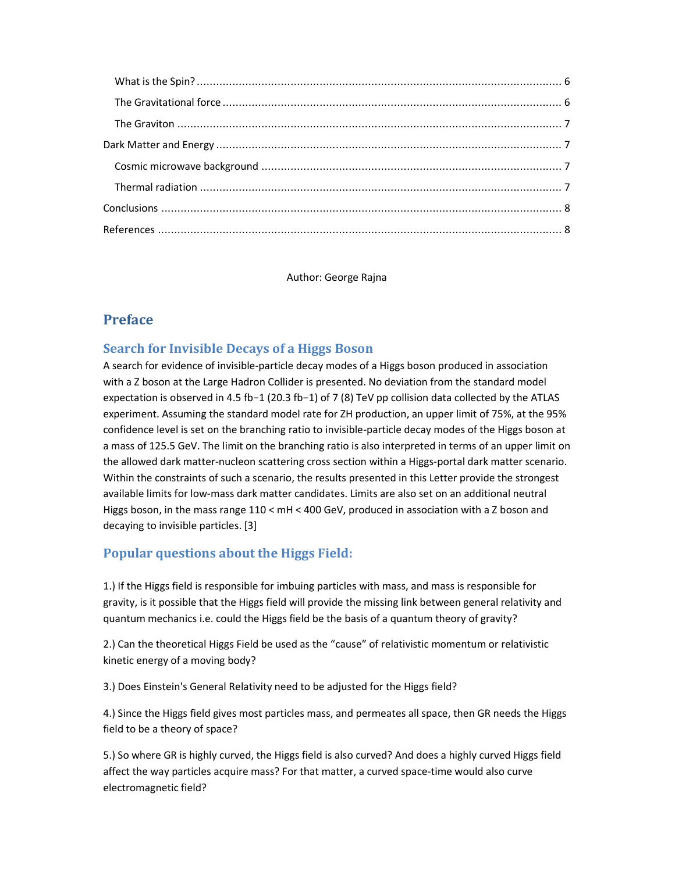Author: George Rajna

# **Preface**

## **Search for Invisible Decays of a Higgs Boson**

A search for evidence of invisible-particle decay modes of a Higgs boson produced in association with a Z boson at the Large Hadron Collider is presented. No deviation from the standard model expectation is observed in 4.5 fb−1 (20.3 fb−1) of 7 (8) TeV pp collision data collected by the ATLAS experiment. Assuming the standard model rate for ZH production, an upper limit of 75%, at the 95% confidence level is set on the branching ratio to invisible-particle decay modes of the Higgs boson at a mass of 125.5 GeV. The limit on the branching ratio is also interpreted in terms of an upper limit on the allowed dark matter-nucleon scattering cross section within a Higgs-portal dark matter scenario. Within the constraints of such a scenario, the results presented in this Letter provide the strongest available limits for low-mass dark matter candidates. Limits are also set on an additional neutral Higgs boson, in the mass range 110 < mH < 400 GeV, produced in association with a Z boson and decaying to invisible particles. [3]

# **Popular questions about the Higgs Field:**

1.) If the Higgs field is responsible for imbuing particles with mass, and mass is responsible for gravity, is it possible that the Higgs field will provide the missing link between general relativity and quantum mechanics i.e. could the Higgs field be the basis of a quantum theory of gravity?

2.) Can the theoretical Higgs Field be used as the "cause" of relativistic momentum or relativistic kinetic energy of a moving body?

3.) Does Einstein's General Relativity need to be adjusted for the Higgs field?

4.) Since the Higgs field gives most particles mass, and permeates all space, then GR needs the Higgs field to be a theory of space?

5.) So where GR is highly curved, the Higgs field is also curved? And does a highly curved Higgs field affect the way particles acquire mass? For that matter, a curved space-time would also curve electromagnetic field?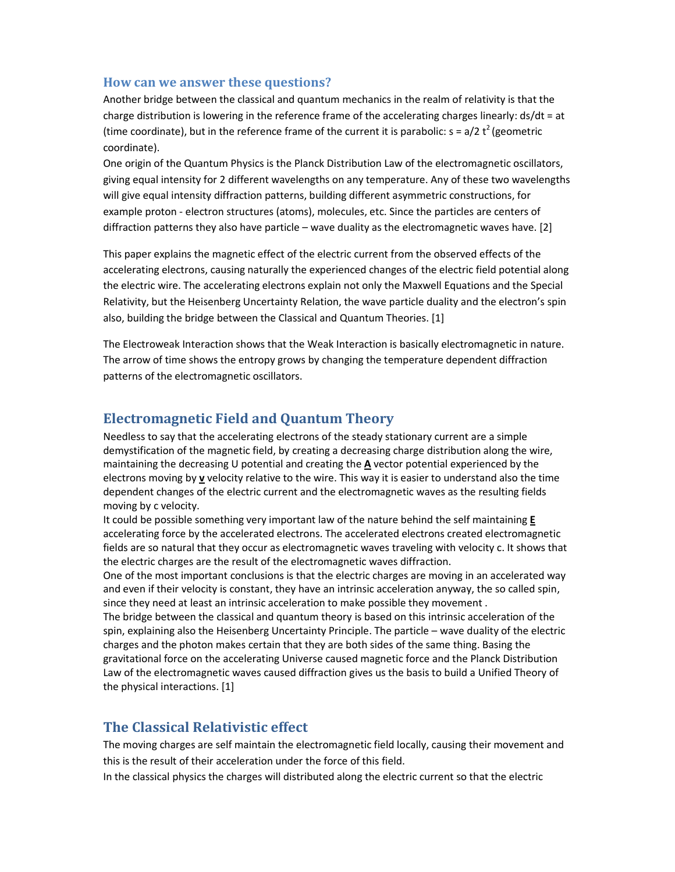#### **How can we answer these questions?**

Another bridge between the classical and quantum mechanics in the realm of relativity is that the charge distribution is lowering in the reference frame of the accelerating charges linearly: ds/dt = at (time coordinate), but in the reference frame of the current it is parabolic:  $s = a/2 t^2$  (geometric coordinate).

One origin of the Quantum Physics is the Planck Distribution Law of the electromagnetic oscillators, giving equal intensity for 2 different wavelengths on any temperature. Any of these two wavelengths will give equal intensity diffraction patterns, building different asymmetric constructions, for example proton - electron structures (atoms), molecules, etc. Since the particles are centers of diffraction patterns they also have particle – wave duality as the electromagnetic waves have. [2]

This paper explains the magnetic effect of the electric current from the observed effects of the accelerating electrons, causing naturally the experienced changes of the electric field potential along the electric wire. The accelerating electrons explain not only the Maxwell Equations and the Special Relativity, but the Heisenberg Uncertainty Relation, the wave particle duality and the electron's spin also, building the bridge between the Classical and Quantum Theories. [1]

The Electroweak Interaction shows that the Weak Interaction is basically electromagnetic in nature. The arrow of time shows the entropy grows by changing the temperature dependent diffraction patterns of the electromagnetic oscillators.

## **Electromagnetic Field and Quantum Theory**

Needless to say that the accelerating electrons of the steady stationary current are a simple demystification of the magnetic field, by creating a decreasing charge distribution along the wire, maintaining the decreasing U potential and creating the **A** vector potential experienced by the electrons moving by **v** velocity relative to the wire. This way it is easier to understand also the time dependent changes of the electric current and the electromagnetic waves as the resulting fields moving by c velocity.

It could be possible something very important law of the nature behind the self maintaining **E** accelerating force by the accelerated electrons. The accelerated electrons created electromagnetic fields are so natural that they occur as electromagnetic waves traveling with velocity c. It shows that the electric charges are the result of the electromagnetic waves diffraction.

One of the most important conclusions is that the electric charges are moving in an accelerated way and even if their velocity is constant, they have an intrinsic acceleration anyway, the so called spin, since they need at least an intrinsic acceleration to make possible they movement .

The bridge between the classical and quantum theory is based on this intrinsic acceleration of the spin, explaining also the Heisenberg Uncertainty Principle. The particle – wave duality of the electric charges and the photon makes certain that they are both sides of the same thing. Basing the gravitational force on the accelerating Universe caused magnetic force and the Planck Distribution Law of the electromagnetic waves caused diffraction gives us the basis to build a Unified Theory of the physical interactions. [1]

### **The Classical Relativistic effect**

The moving charges are self maintain the electromagnetic field locally, causing their movement and this is the result of their acceleration under the force of this field.

In the classical physics the charges will distributed along the electric current so that the electric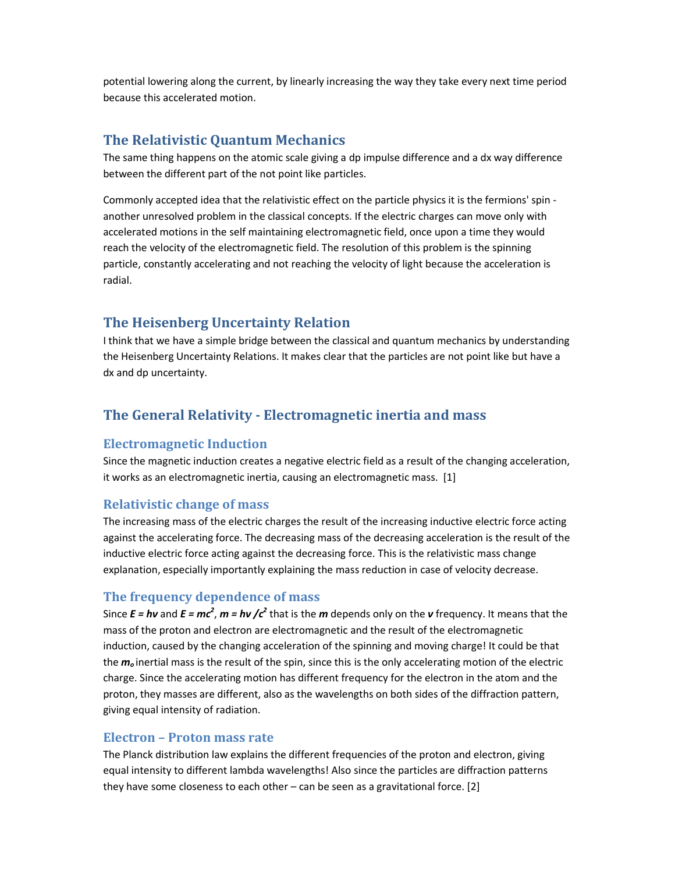potential lowering along the current, by linearly increasing the way they take every next time period because this accelerated motion.

## **The Relativistic Quantum Mechanics**

The same thing happens on the atomic scale giving a dp impulse difference and a dx way difference between the different part of the not point like particles.

Commonly accepted idea that the relativistic effect on the particle physics it is the fermions' spin another unresolved problem in the classical concepts. If the electric charges can move only with accelerated motions in the self maintaining electromagnetic field, once upon a time they would reach the velocity of the electromagnetic field. The resolution of this problem is the spinning particle, constantly accelerating and not reaching the velocity of light because the acceleration is radial.

## **The Heisenberg Uncertainty Relation**

I think that we have a simple bridge between the classical and quantum mechanics by understanding the Heisenberg Uncertainty Relations. It makes clear that the particles are not point like but have a dx and dp uncertainty.

## **The General Relativity - Electromagnetic inertia and mass**

#### **Electromagnetic Induction**

Since the magnetic induction creates a negative electric field as a result of the changing acceleration, it works as an electromagnetic inertia, causing an electromagnetic mass. [1]

#### **Relativistic change of mass**

The increasing mass of the electric charges the result of the increasing inductive electric force acting against the accelerating force. The decreasing mass of the decreasing acceleration is the result of the inductive electric force acting against the decreasing force. This is the relativistic mass change explanation, especially importantly explaining the mass reduction in case of velocity decrease.

#### **The frequency dependence of mass**

Since  $E = h\nu$  and  $E = mc^2$ ,  $m = h\nu$  / $c^2$  that is the *m* depends only on the *v* frequency. It means that the mass of the proton and electron are electromagnetic and the result of the electromagnetic induction, caused by the changing acceleration of the spinning and moving charge! It could be that the *m<sup>o</sup>* inertial mass is the result of the spin, since this is the only accelerating motion of the electric charge. Since the accelerating motion has different frequency for the electron in the atom and the proton, they masses are different, also as the wavelengths on both sides of the diffraction pattern, giving equal intensity of radiation.

#### **Electron – Proton mass rate**

The Planck distribution law explains the different frequencies of the proton and electron, giving equal intensity to different lambda wavelengths! Also since the particles are diffraction patterns they have some closeness to each other – can be seen as a gravitational force. [2]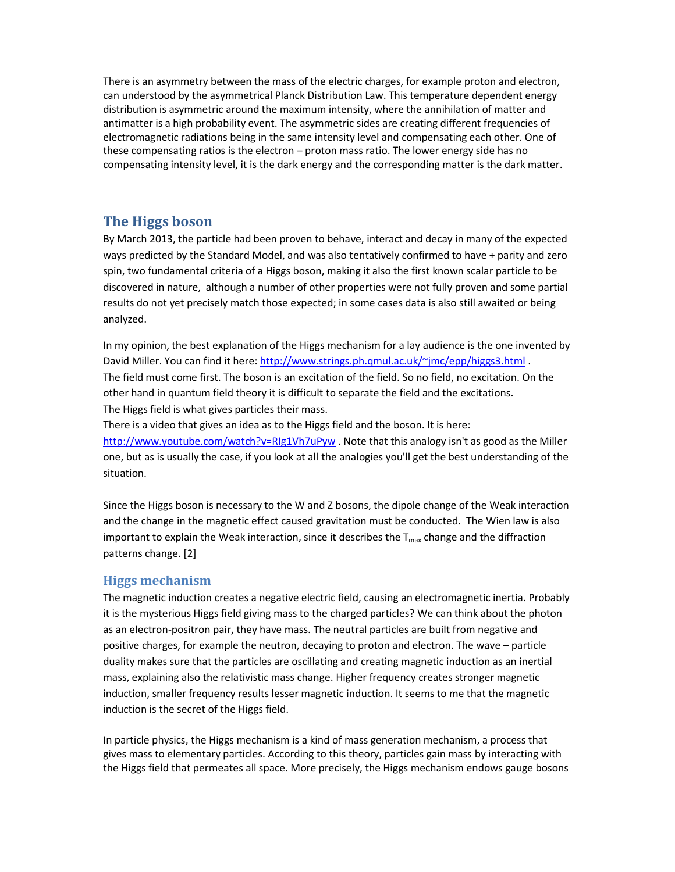There is an asymmetry between the mass of the electric charges, for example proton and electron, can understood by the asymmetrical Planck Distribution Law. This temperature dependent energy distribution is asymmetric around the maximum intensity, where the annihilation of matter and antimatter is a high probability event. The asymmetric sides are creating different frequencies of electromagnetic radiations being in the same intensity level and compensating each other. One of these compensating ratios is the electron – proton mass ratio. The lower energy side has no compensating intensity level, it is the dark energy and the corresponding matter is the dark matter.

# **The Higgs boson**

By March 2013, the particle had been proven to behave, interact and decay in many of the expected ways predicted by the Standard Model, and was also tentatively confirmed to have + parity and zero spin, two fundamental criteria of a Higgs boson, making it also the first known scalar particle to be discovered in nature, although a number of other properties were not fully proven and some partial results do not yet precisely match those expected; in some cases data is also still awaited or being analyzed.

In my opinion, the best explanation of the Higgs mechanism for a lay audience is the one invented by David Miller. You can find it here: http://www.strings.ph.qmul.ac.uk/~jmc/epp/higgs3.html. The field must come first. The boson is an excitation of the field. So no field, no excitation. On the other hand in quantum field theory it is difficult to separate the field and the excitations. The Higgs field is what gives particles their mass.

There is a video that gives an idea as to the Higgs field and the boson. It is here: http://www.youtube.com/watch?v=RIg1Vh7uPyw . Note that this analogy isn't as good as the Miller one, but as is usually the case, if you look at all the analogies you'll get the best understanding of the situation.

Since the Higgs boson is necessary to the W and Z bosons, the dipole change of the Weak interaction and the change in the magnetic effect caused gravitation must be conducted. The Wien law is also important to explain the Weak interaction, since it describes the  $T_{\text{max}}$  change and the diffraction patterns change. [2]

## **Higgs mechanism**

The magnetic induction creates a negative electric field, causing an electromagnetic inertia. Probably it is the mysterious Higgs field giving mass to the charged particles? We can think about the photon as an electron-positron pair, they have mass. The neutral particles are built from negative and positive charges, for example the neutron, decaying to proton and electron. The wave – particle duality makes sure that the particles are oscillating and creating magnetic induction as an inertial mass, explaining also the relativistic mass change. Higher frequency creates stronger magnetic induction, smaller frequency results lesser magnetic induction. It seems to me that the magnetic induction is the secret of the Higgs field.

In particle physics, the Higgs mechanism is a kind of mass generation mechanism, a process that gives mass to elementary particles. According to this theory, particles gain mass by interacting with the Higgs field that permeates all space. More precisely, the Higgs mechanism endows gauge bosons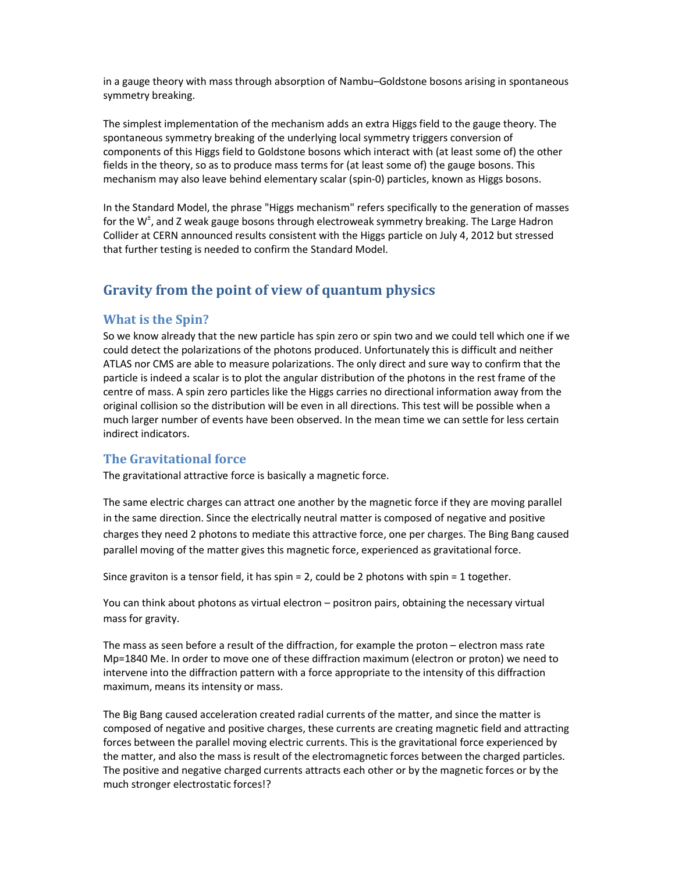in a gauge theory with mass through absorption of Nambu–Goldstone bosons arising in spontaneous symmetry breaking.

The simplest implementation of the mechanism adds an extra Higgs field to the gauge theory. The spontaneous symmetry breaking of the underlying local symmetry triggers conversion of components of this Higgs field to Goldstone bosons which interact with (at least some of) the other fields in the theory, so as to produce mass terms for (at least some of) the gauge bosons. This mechanism may also leave behind elementary scalar (spin-0) particles, known as Higgs bosons.

In the Standard Model, the phrase "Higgs mechanism" refers specifically to the generation of masses for the W<sup>±</sup>, and Z weak gauge bosons through electroweak symmetry breaking. The Large Hadron Collider at CERN announced results consistent with the Higgs particle on July 4, 2012 but stressed that further testing is needed to confirm the Standard Model.

# **Gravity from the point of view of quantum physics**

## **What is the Spin?**

So we know already that the new particle has spin zero or spin two and we could tell which one if we could detect the polarizations of the photons produced. Unfortunately this is difficult and neither ATLAS nor CMS are able to measure polarizations. The only direct and sure way to confirm that the particle is indeed a scalar is to plot the angular distribution of the photons in the rest frame of the centre of mass. A spin zero particles like the Higgs carries no directional information away from the original collision so the distribution will be even in all directions. This test will be possible when a much larger number of events have been observed. In the mean time we can settle for less certain indirect indicators.

#### **The Gravitational force**

The gravitational attractive force is basically a magnetic force.

The same electric charges can attract one another by the magnetic force if they are moving parallel in the same direction. Since the electrically neutral matter is composed of negative and positive charges they need 2 photons to mediate this attractive force, one per charges. The Bing Bang caused parallel moving of the matter gives this magnetic force, experienced as gravitational force.

Since graviton is a tensor field, it has spin = 2, could be 2 photons with spin = 1 together.

You can think about photons as virtual electron – positron pairs, obtaining the necessary virtual mass for gravity.

The mass as seen before a result of the diffraction, for example the proton – electron mass rate Mp=1840 Me. In order to move one of these diffraction maximum (electron or proton) we need to intervene into the diffraction pattern with a force appropriate to the intensity of this diffraction maximum, means its intensity or mass.

The Big Bang caused acceleration created radial currents of the matter, and since the matter is composed of negative and positive charges, these currents are creating magnetic field and attracting forces between the parallel moving electric currents. This is the gravitational force experienced by the matter, and also the mass is result of the electromagnetic forces between the charged particles. The positive and negative charged currents attracts each other or by the magnetic forces or by the much stronger electrostatic forces!?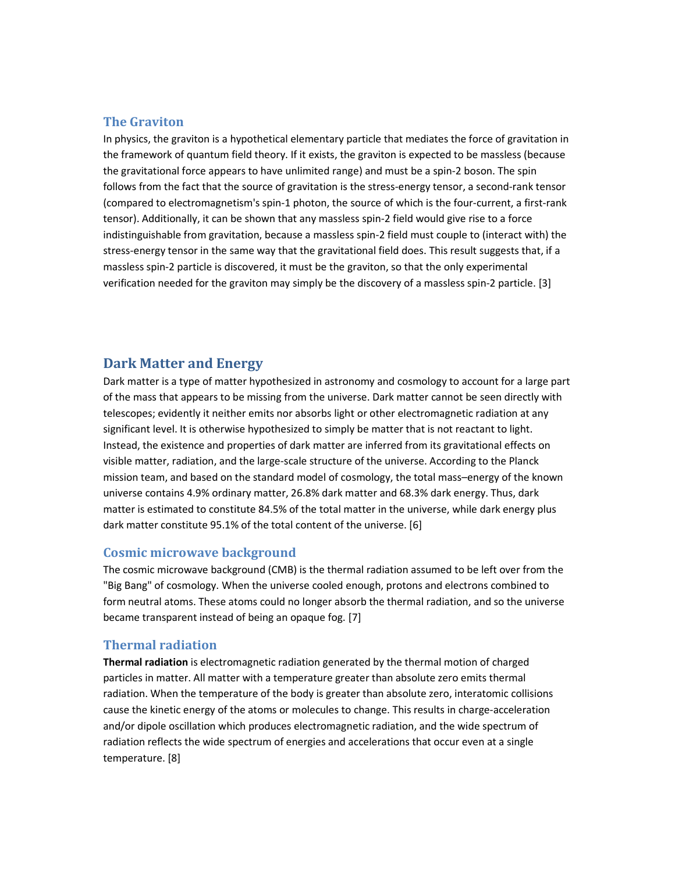## **The Graviton**

In physics, the graviton is a hypothetical elementary particle that mediates the force of gravitation in the framework of quantum field theory. If it exists, the graviton is expected to be massless (because the gravitational force appears to have unlimited range) and must be a spin-2 boson. The spin follows from the fact that the source of gravitation is the stress-energy tensor, a second-rank tensor (compared to electromagnetism's spin-1 photon, the source of which is the four-current, a first-rank tensor). Additionally, it can be shown that any massless spin-2 field would give rise to a force indistinguishable from gravitation, because a massless spin-2 field must couple to (interact with) the stress-energy tensor in the same way that the gravitational field does. This result suggests that, if a massless spin-2 particle is discovered, it must be the graviton, so that the only experimental verification needed for the graviton may simply be the discovery of a massless spin-2 particle. [3]

## **Dark Matter and Energy**

Dark matter is a type of matter hypothesized in astronomy and cosmology to account for a large part of the mass that appears to be missing from the universe. Dark matter cannot be seen directly with telescopes; evidently it neither emits nor absorbs light or other electromagnetic radiation at any significant level. It is otherwise hypothesized to simply be matter that is not reactant to light. Instead, the existence and properties of dark matter are inferred from its gravitational effects on visible matter, radiation, and the large-scale structure of the universe. According to the Planck mission team, and based on the standard model of cosmology, the total mass–energy of the known universe contains 4.9% ordinary matter, 26.8% dark matter and 68.3% dark energy. Thus, dark matter is estimated to constitute 84.5% of the total matter in the universe, while dark energy plus dark matter constitute 95.1% of the total content of the universe. [6]

#### **Cosmic microwave background**

The cosmic microwave background (CMB) is the thermal radiation assumed to be left over from the "Big Bang" of cosmology. When the universe cooled enough, protons and electrons combined to form neutral atoms. These atoms could no longer absorb the thermal radiation, and so the universe became transparent instead of being an opaque fog. [7]

#### **Thermal radiation**

**Thermal radiation** is electromagnetic radiation generated by the thermal motion of charged particles in matter. All matter with a temperature greater than absolute zero emits thermal radiation. When the temperature of the body is greater than absolute zero, interatomic collisions cause the kinetic energy of the atoms or molecules to change. This results in charge-acceleration and/or dipole oscillation which produces electromagnetic radiation, and the wide spectrum of radiation reflects the wide spectrum of energies and accelerations that occur even at a single temperature. [8]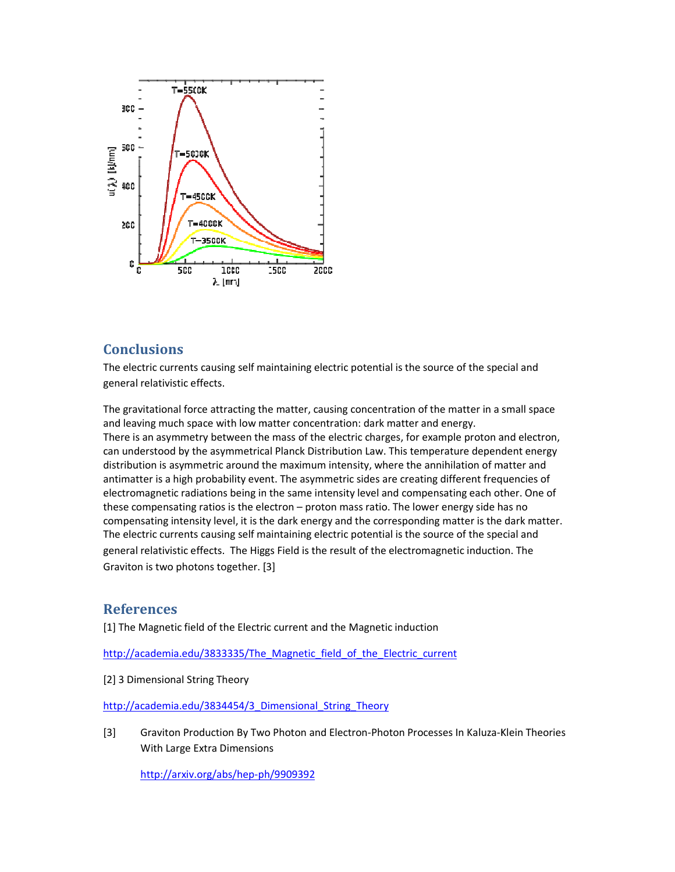

# **Conclusions**

The electric currents causing self maintaining electric potential is the source of the special and general relativistic effects.

The gravitational force attracting the matter, causing concentration of the matter in a small space and leaving much space with low matter concentration: dark matter and energy. There is an asymmetry between the mass of the electric charges, for example proton and electron, can understood by the asymmetrical Planck Distribution Law. This temperature dependent energy distribution is asymmetric around the maximum intensity, where the annihilation of matter and antimatter is a high probability event. The asymmetric sides are creating different frequencies of electromagnetic radiations being in the same intensity level and compensating each other. One of these compensating ratios is the electron - proton mass ratio. The lower energy side has no compensating intensity level, it is the dark energy and the corresponding matter is the dark matter. The electric currents causing self maintaining electric potential is the source of the special and general relativistic effects. The Higgs Field is the result of the electromagnetic induction. The Graviton is two photons together. [3]

## **References**

Graviton is two photons together. [3]<br>**References**<br>[1] The Magnetic field of the Electric current and the Magnetic induction

http://academia.edu/3833335/The Magnetic field of the Electric current

[2] 3 Dimensional String Theory

http://academia.edu/3834454/3 Dimensional String Theory

[3] Graviton Production By Two Photon and Electron-Photon Processes In Kaluza-Klein Theories With Large Extra Dimensions

With Large Extra Dimensions<br><u>http://arxiv.org/abs/hep-ph/9909392</u>